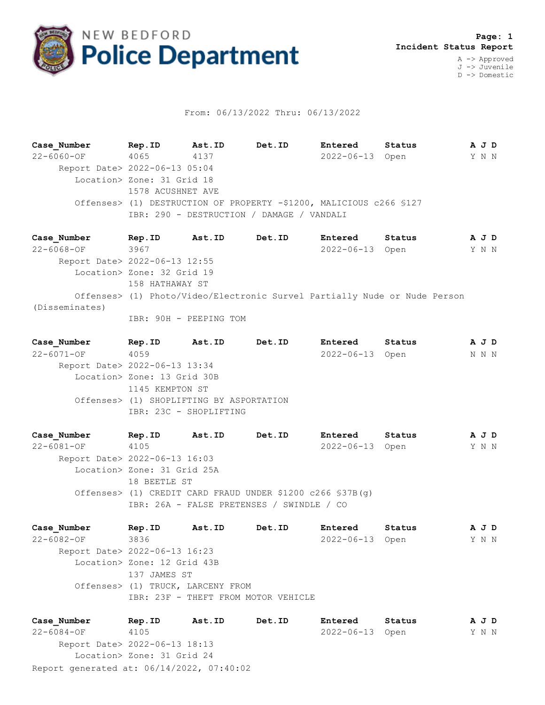

## From: 06/13/2022 Thru: 06/13/2022

**Case\_Number Rep.ID Ast.ID Det.ID Entered Status A J D** 22-6060-OF 4065 4137 2022-06-13 Open Y N N Report Date> 2022-06-13 05:04 Location> Zone: 31 Grid 18 1578 ACUSHNET AVE Offenses> (1) DESTRUCTION OF PROPERTY -\$1200, MALICIOUS c266 §127 IBR: 290 - DESTRUCTION / DAMAGE / VANDALI

**Case\_Number Rep.ID Ast.ID Det.ID Entered Status A J D** 22-6068-OF 3967 2022-06-13 Open Y N N Report Date> 2022-06-13 12:55 Location> Zone: 32 Grid 19 158 HATHAWAY ST Offenses> (1) Photo/Video/Electronic Survel Partially Nude or Nude Person (Disseminates) IBR: 90H - PEEPING TOM

**Case\_Number Rep.ID Ast.ID Det.ID Entered Status A J D** 22-6071-OF 4059 2022-06-13 Open N N N Report Date> 2022-06-13 13:34 Location> Zone: 13 Grid 30B 1145 KEMPTON ST Offenses> (1) SHOPLIFTING BY ASPORTATION IBR: 23C - SHOPLIFTING

**Case\_Number Rep.ID Ast.ID Det.ID Entered Status A J D** 22-6081-OF 4105 2022-06-13 Open Y N N Report Date> 2022-06-13 16:03 Location> Zone: 31 Grid 25A 18 BEETLE ST Offenses> (1) CREDIT CARD FRAUD UNDER \$1200 c266 §37B(g) IBR: 26A - FALSE PRETENSES / SWINDLE / CO

**Case\_Number Rep.ID Ast.ID Det.ID Entered Status A J D** 22-6082-OF 3836 2022-06-13 Open Y N N Report Date> 2022-06-13 16:23 Location> Zone: 12 Grid 43B 137 JAMES ST Offenses> (1) TRUCK, LARCENY FROM IBR: 23F - THEFT FROM MOTOR VEHICLE

Report generated at: 06/14/2022, 07:40:02 **Case\_Number Rep.ID Ast.ID Det.ID Entered Status A J D** 22-6084-OF 4105 2022-06-13 Open Y N N Report Date> 2022-06-13 18:13 Location> Zone: 31 Grid 24